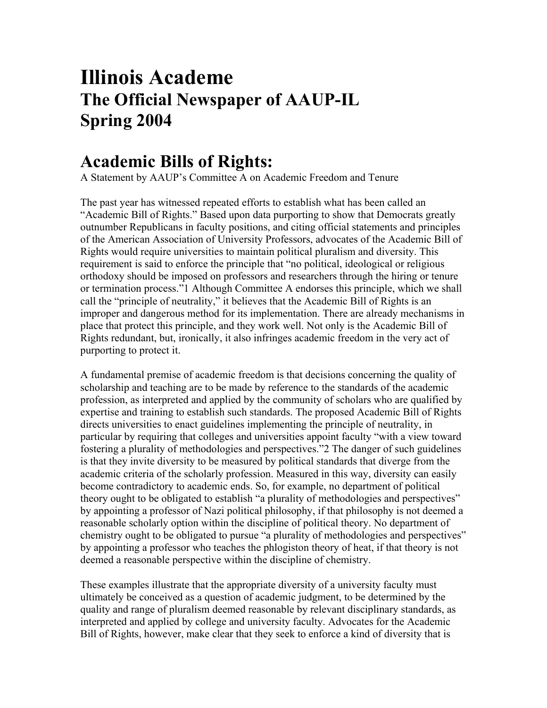## **Illinois Academe The Official Newspaper of AAUP-IL Spring 2004**

## **Academic Bills of Rights:**

A Statement by AAUP's Committee A on Academic Freedom and Tenure

The past year has witnessed repeated efforts to establish what has been called an "Academic Bill of Rights." Based upon data purporting to show that Democrats greatly outnumber Republicans in faculty positions, and citing official statements and principles of the American Association of University Professors, advocates of the Academic Bill of Rights would require universities to maintain political pluralism and diversity. This requirement is said to enforce the principle that "no political, ideological or religious orthodoxy should be imposed on professors and researchers through the hiring or tenure or termination process."1 Although Committee A endorses this principle, which we shall call the "principle of neutrality," it believes that the Academic Bill of Rights is an improper and dangerous method for its implementation. There are already mechanisms in place that protect this principle, and they work well. Not only is the Academic Bill of Rights redundant, but, ironically, it also infringes academic freedom in the very act of purporting to protect it.

A fundamental premise of academic freedom is that decisions concerning the quality of scholarship and teaching are to be made by reference to the standards of the academic profession, as interpreted and applied by the community of scholars who are qualified by expertise and training to establish such standards. The proposed Academic Bill of Rights directs universities to enact guidelines implementing the principle of neutrality, in particular by requiring that colleges and universities appoint faculty "with a view toward fostering a plurality of methodologies and perspectives."2 The danger of such guidelines is that they invite diversity to be measured by political standards that diverge from the academic criteria of the scholarly profession. Measured in this way, diversity can easily become contradictory to academic ends. So, for example, no department of political theory ought to be obligated to establish "a plurality of methodologies and perspectives" by appointing a professor of Nazi political philosophy, if that philosophy is not deemed a reasonable scholarly option within the discipline of political theory. No department of chemistry ought to be obligated to pursue "a plurality of methodologies and perspectives" by appointing a professor who teaches the phlogiston theory of heat, if that theory is not deemed a reasonable perspective within the discipline of chemistry.

These examples illustrate that the appropriate diversity of a university faculty must ultimately be conceived as a question of academic judgment, to be determined by the quality and range of pluralism deemed reasonable by relevant disciplinary standards, as interpreted and applied by college and university faculty. Advocates for the Academic Bill of Rights, however, make clear that they seek to enforce a kind of diversity that is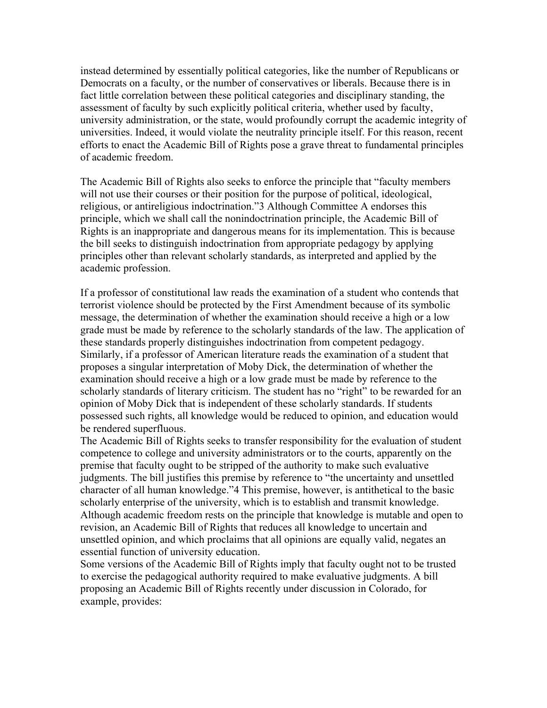instead determined by essentially political categories, like the number of Republicans or Democrats on a faculty, or the number of conservatives or liberals. Because there is in fact little correlation between these political categories and disciplinary standing, the assessment of faculty by such explicitly political criteria, whether used by faculty, university administration, or the state, would profoundly corrupt the academic integrity of universities. Indeed, it would violate the neutrality principle itself. For this reason, recent efforts to enact the Academic Bill of Rights pose a grave threat to fundamental principles of academic freedom.

The Academic Bill of Rights also seeks to enforce the principle that "faculty members will not use their courses or their position for the purpose of political, ideological, religious, or antireligious indoctrination."3 Although Committee A endorses this principle, which we shall call the nonindoctrination principle, the Academic Bill of Rights is an inappropriate and dangerous means for its implementation. This is because the bill seeks to distinguish indoctrination from appropriate pedagogy by applying principles other than relevant scholarly standards, as interpreted and applied by the academic profession.

If a professor of constitutional law reads the examination of a student who contends that terrorist violence should be protected by the First Amendment because of its symbolic message, the determination of whether the examination should receive a high or a low grade must be made by reference to the scholarly standards of the law. The application of these standards properly distinguishes indoctrination from competent pedagogy. Similarly, if a professor of American literature reads the examination of a student that proposes a singular interpretation of Moby Dick, the determination of whether the examination should receive a high or a low grade must be made by reference to the scholarly standards of literary criticism. The student has no "right" to be rewarded for an opinion of Moby Dick that is independent of these scholarly standards. If students possessed such rights, all knowledge would be reduced to opinion, and education would be rendered superfluous.

The Academic Bill of Rights seeks to transfer responsibility for the evaluation of student competence to college and university administrators or to the courts, apparently on the premise that faculty ought to be stripped of the authority to make such evaluative judgments. The bill justifies this premise by reference to "the uncertainty and unsettled character of all human knowledge."4 This premise, however, is antithetical to the basic scholarly enterprise of the university, which is to establish and transmit knowledge. Although academic freedom rests on the principle that knowledge is mutable and open to revision, an Academic Bill of Rights that reduces all knowledge to uncertain and unsettled opinion, and which proclaims that all opinions are equally valid, negates an essential function of university education.

Some versions of the Academic Bill of Rights imply that faculty ought not to be trusted to exercise the pedagogical authority required to make evaluative judgments. A bill proposing an Academic Bill of Rights recently under discussion in Colorado, for example, provides: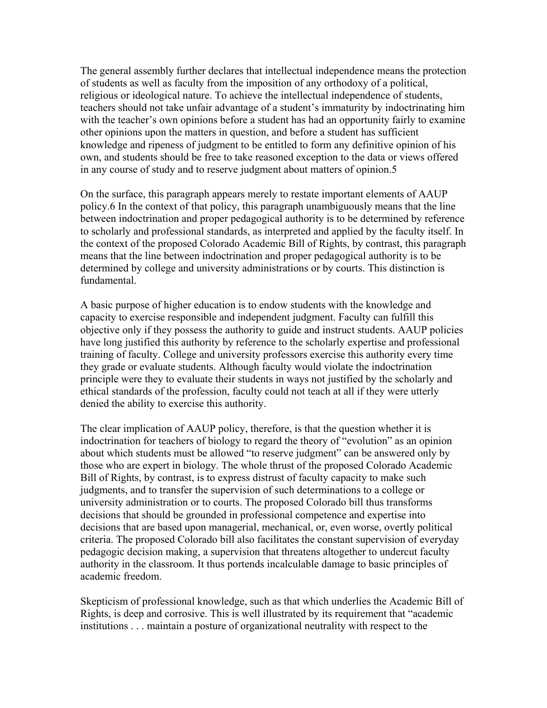The general assembly further declares that intellectual independence means the protection of students as well as faculty from the imposition of any orthodoxy of a political, religious or ideological nature. To achieve the intellectual independence of students, teachers should not take unfair advantage of a student's immaturity by indoctrinating him with the teacher's own opinions before a student has had an opportunity fairly to examine other opinions upon the matters in question, and before a student has sufficient knowledge and ripeness of judgment to be entitled to form any definitive opinion of his own, and students should be free to take reasoned exception to the data or views offered in any course of study and to reserve judgment about matters of opinion.5

On the surface, this paragraph appears merely to restate important elements of AAUP policy.6 In the context of that policy, this paragraph unambiguously means that the line between indoctrination and proper pedagogical authority is to be determined by reference to scholarly and professional standards, as interpreted and applied by the faculty itself. In the context of the proposed Colorado Academic Bill of Rights, by contrast, this paragraph means that the line between indoctrination and proper pedagogical authority is to be determined by college and university administrations or by courts. This distinction is fundamental.

A basic purpose of higher education is to endow students with the knowledge and capacity to exercise responsible and independent judgment. Faculty can fulfill this objective only if they possess the authority to guide and instruct students. AAUP policies have long justified this authority by reference to the scholarly expertise and professional training of faculty. College and university professors exercise this authority every time they grade or evaluate students. Although faculty would violate the indoctrination principle were they to evaluate their students in ways not justified by the scholarly and ethical standards of the profession, faculty could not teach at all if they were utterly denied the ability to exercise this authority.

The clear implication of AAUP policy, therefore, is that the question whether it is indoctrination for teachers of biology to regard the theory of "evolution" as an opinion about which students must be allowed "to reserve judgment" can be answered only by those who are expert in biology. The whole thrust of the proposed Colorado Academic Bill of Rights, by contrast, is to express distrust of faculty capacity to make such judgments, and to transfer the supervision of such determinations to a college or university administration or to courts. The proposed Colorado bill thus transforms decisions that should be grounded in professional competence and expertise into decisions that are based upon managerial, mechanical, or, even worse, overtly political criteria. The proposed Colorado bill also facilitates the constant supervision of everyday pedagogic decision making, a supervision that threatens altogether to undercut faculty authority in the classroom. It thus portends incalculable damage to basic principles of academic freedom.

Skepticism of professional knowledge, such as that which underlies the Academic Bill of Rights, is deep and corrosive. This is well illustrated by its requirement that "academic institutions . . . maintain a posture of organizational neutrality with respect to the